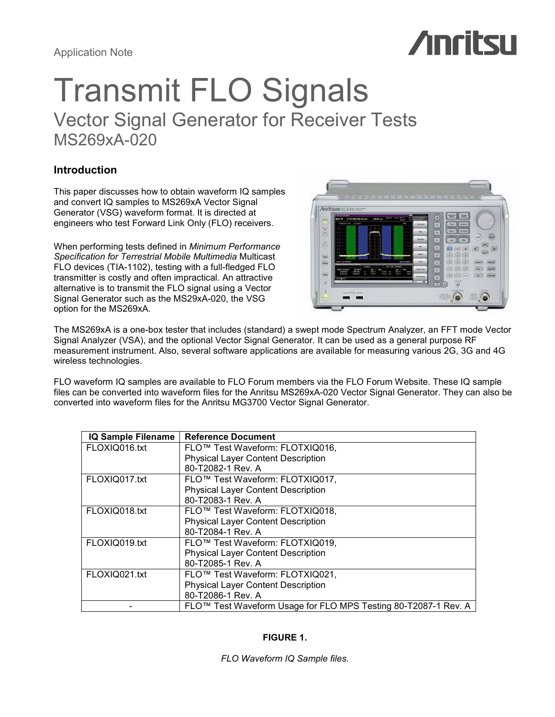# **Anritsu**

## Transmit FLO Signals Vector Signal Generator for Receiver Tests MS269xA-020

## Introduction

This paper discusses how to obtain waveform IQ samples and convert IQ samples to MS269xA Vector Signal Generator (VSG) waveform format. It is directed at engineers who test Forward Link Only (FLO) receivers.

When performing tests defined in Minimum Performance Specification for Terrestrial Mobile Multimedia Multicast FLO devices (TIA-1102), testing with a full-fledged FLO transmitter is costly and often impractical. An attractive alternative is to transmit the FLO signal using a Vector Signal Generator such as the MS29xA-020, the VSG option for the MS269xA.



The MS269xA is a one-box tester that includes (standard) a swept mode Spectrum Analyzer, an FFT mode Vector Signal Analyzer (VSA), and the optional Vector Signal Generator. It can be used as a general purpose RF measurement instrument. Also, several software applications are available for measuring various 2G, 3G and 4G wireless technologies.

FLO waveform IQ samples are available to FLO Forum members via the FLO Forum Website. These IQ sample files can be converted into waveform files for the Anritsu MS269xA-020 Vector Signal Generator. They can also be converted into waveform files for the Anritsu MG3700 Vector Signal Generator.

| <b>IQ Sample Filename</b> | <b>Reference Document</b>                                                  |
|---------------------------|----------------------------------------------------------------------------|
| FLOXIQ016.txt             | FLO™ Test Waveform: FLOTXIQ016,                                            |
|                           | <b>Physical Layer Content Description</b>                                  |
|                           | 80-T2082-1 Rev. A                                                          |
| FLOXIQ017.txt             | FLO <sup>™</sup> Test Waveform: FLOTXIQ017,                                |
|                           | <b>Physical Layer Content Description</b>                                  |
|                           | 80-T2083-1 Rev. A                                                          |
| FLOXIQ018.txt             | FLO <sup>™</sup> Test Waveform: FLOTXIQ018,                                |
|                           | <b>Physical Layer Content Description</b>                                  |
|                           | 80-T2084-1 Rev. A                                                          |
| FLOXIQ019.txt             | FLO™ Test Waveform: FLOTXIQ019,                                            |
|                           | <b>Physical Layer Content Description</b>                                  |
|                           | 80-T2085-1 Rev. A                                                          |
| FLOXIQ021.txt             | FLO <sup>™</sup> Test Waveform: FLOTXIQ021,                                |
|                           | <b>Physical Layer Content Description</b>                                  |
|                           | 80-T2086-1 Rev. A                                                          |
|                           | FLO <sup>™</sup> Test Waveform Usage for FLO MPS Testing 80-T2087-1 Rev. A |

## FIGURE 1.

FLO Waveform IQ Sample files.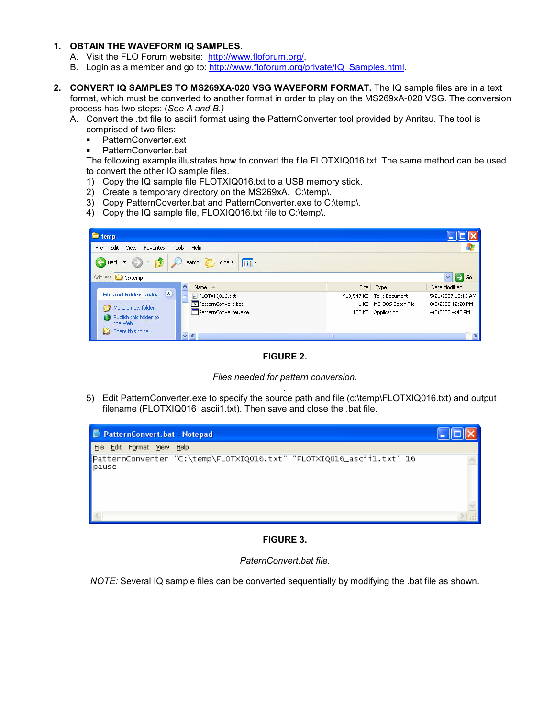## 1. OBTAIN THE WAVEFORM IQ SAMPLES.

- A. Visit the FLO Forum website: http://www.floforum.org/.
- B. Login as a member and go to: http://www.floforum.org/private/IQ\_Samples.html.
- 2. CONVERT IQ SAMPLES TO MS269XA-020 VSG WAVEFORM FORMAT. The IQ sample files are in a text format, which must be converted to another format in order to play on the MS269xA-020 VSG. The conversion process has two steps: (See A and B.)
	- A. Convert the .txt file to ascii1 format using the PatternConverter tool provided by Anritsu. The tool is comprised of two files:
		- PatternConverter.ext
		- PatternConverter.bat

The following example illustrates how to convert the file FLOTXIQ016.txt. The same method can be used to convert the other IQ sample files.

- 1) Copy the IQ sample file FLOTXIQ016.txt to a USB memory stick.
- 2) Create a temporary directory on the MS269xA, C:\temp\.
- 3) Copy PatternCoverter.bat and PatternConverter.exe to C:\temp\.
- 4) Copy the IQ sample file, FLOXIQ016.txt file to C:\temp\.

| <sup>t</sup> temp                                  |                                        |            |                   |                                  |
|----------------------------------------------------|----------------------------------------|------------|-------------------|----------------------------------|
| Edit<br>File<br>Favorites<br>Tools Help<br>View    |                                        |            |                   |                                  |
| E)<br>Back +                                       | Search <b>P</b> Folders<br>$\boxed{m}$ |            |                   |                                  |
| Address <b>C</b> C:\temp                           |                                        |            |                   | $\checkmark$<br>$\rightarrow$ Go |
| $\lambda$                                          | Name $-$                               |            | Size Type         | Date Modified                    |
| $\hat{\mathbf{x}}$<br><b>File and Folder Tasks</b> | E FLOTXIQ016.txt                       | 910,547 KB | Text Document     | 5/21/2007 10:13 AM               |
| Make a new folder                                  | PatternConvert.bat                     | 1 K B      | MS-DOS Batch File | 8/5/2008 12:28 PM                |
| Publish this folder to<br>the Web                  | PatternConverter.exe                   | 180 KB     | Application       | 4/3/2008 4:43 PM                 |
| Share this folder                                  | $\vee$ <                               | <b>THE</b> |                   |                                  |

FIGURE 2.

Files needed for pattern conversion.

. 5) Edit PatternConverter.exe to specify the source path and file (c:\temp\FLOTXIQ016.txt) and output filename (FLOTXIQ016\_ascii1.txt). Then save and close the .bat file.



FIGURE 3.

PaternConvert.bat file.

NOTE: Several IQ sample files can be converted sequentially by modifying the .bat file as shown.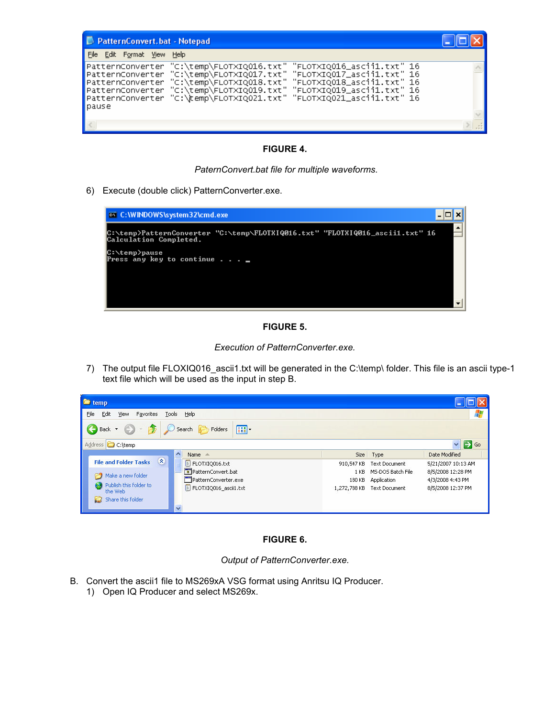| PatternConvert.bat - Notepad                                                                                                                                                                                                                                                                                                                                                                                    |  |
|-----------------------------------------------------------------------------------------------------------------------------------------------------------------------------------------------------------------------------------------------------------------------------------------------------------------------------------------------------------------------------------------------------------------|--|
| File Edit Format View Help                                                                                                                                                                                                                                                                                                                                                                                      |  |
| PatternConverter "C:\temp\FLOTXIQ016.txt" "FLOTXIQ016_ascii1.txt" 16<br>PatternConverter "C:\temp\FLOTXIQ017.txt" "FLOTXIQ017_ascii1.txt" 16<br>"C:\temp\FLOTXIQ018.txt" "FLOTXIQ018_ascii1.txt" 16<br>PatternConverter<br>$\blacksquare$ PatternConverter "C:\temp\FLOTXIQ019.txt" "FLOTXIQ019_ascii1.txt" 16<br>$\blacksquare$ PatternConverter "C:\\temp\FLOTXIQ021.txt" "FLOTXIQ021_ascii1.txt" 16<br>pause |  |
|                                                                                                                                                                                                                                                                                                                                                                                                                 |  |
|                                                                                                                                                                                                                                                                                                                                                                                                                 |  |

## FIGURE 4.

PaternConvert.bat file for multiple waveforms.

6) Execute (double click) PatternConverter.exe.



## FIGURE 5.

Execution of PatternConverter.exe.

7) The output file FLOXIQ016 ascii1.txt will be generated in the C:\temp\ folder. This file is an ascii type-1 text file which will be used as the input in step B.



## FIGURE 6.

Output of PatternConverter.exe.

- B. Convert the ascii1 file to MS269xA VSG format using Anritsu IQ Producer.
	- 1) Open IQ Producer and select MS269x.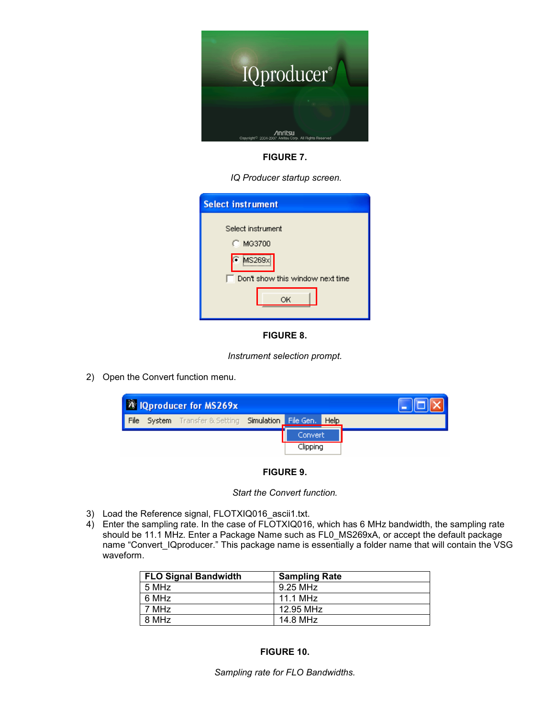

FIGURE 7.

IQ Producer startup screen.

| <b>Select instrument</b>                   |  |
|--------------------------------------------|--|
| Select instrument<br>C MG3700              |  |
| MS269x<br>Don't show this window next time |  |
| ОK                                         |  |

## FIGURE 8.

Instrument selection prompt.

2) Open the Convert function menu.



FIGURE 9.

Start the Convert function.

- 3) Load the Reference signal, FLOTXIQ016 ascii1.txt.
- 4) Enter the sampling rate. In the case of FLOTXIQ016, which has 6 MHz bandwidth, the sampling rate should be 11.1 MHz. Enter a Package Name such as FL0\_MS269xA, or accept the default package name "Convert\_IQproducer." This package name is essentially a folder name that will contain the VSG waveform.

| <b>FLO Signal Bandwidth</b> | <b>Sampling Rate</b> |
|-----------------------------|----------------------|
| 5 MHz                       | 9.25 MHz             |
| 6 MHz                       | 11.1 MHz             |
| 7 MHz                       | 12.95 MHz            |
| 8 MHz                       | 14.8 MHz             |

## FIGURE 10.

Sampling rate for FLO Bandwidths.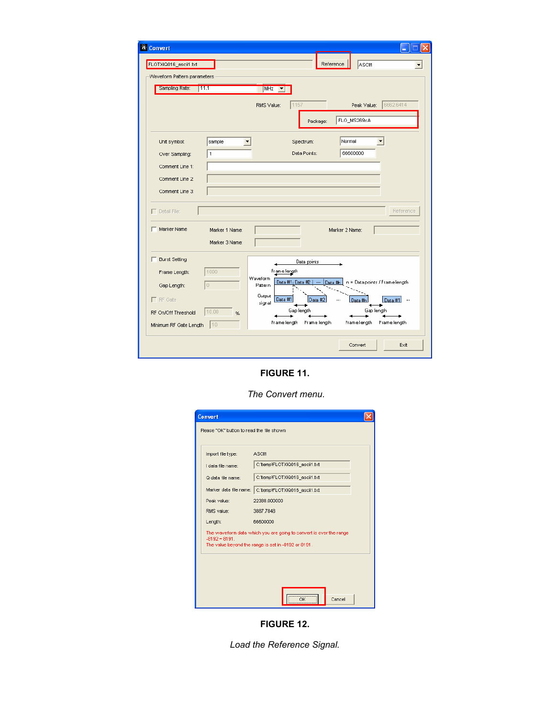| <b>A</b> Convert                              |                                                                                                  |
|-----------------------------------------------|--------------------------------------------------------------------------------------------------|
| FLOTXIQ016_ascii1.txt                         | Reference<br>ASCIM                                                                               |
| Waveform Pattern parameters                   |                                                                                                  |
| Sampling Rate:<br>111.1                       | MHz<br>$\blacktriangledown$                                                                      |
|                                               | 6662.6414<br>1157<br>RMS Value:<br>Peak Value:                                                   |
|                                               | FLO_MS269xA<br>Package:                                                                          |
| Unit symbol:<br>sample<br>1<br>Over Sampling: | Normal<br>Spectrum:<br>66600000<br>Data Points:                                                  |
| Comment Line 1:                               |                                                                                                  |
| Comment Line 2:                               |                                                                                                  |
| Comment Line 3:                               |                                                                                                  |
| $\Box$ Detail File:                           | Reference                                                                                        |
| Marker Name<br>Marker 1 Name:                 | Marker 2 Name:                                                                                   |
| Marker 3 Name:                                |                                                                                                  |
| <b>Burst Setting</b>                          | Data points                                                                                      |
| 1000<br>Frame Length:                         | Frame length                                                                                     |
| $\mathbb O$<br>Gap Length:                    | Waveform<br>Data #1: Data #2<br>n = Data points / Frame length<br>$\cdots$<br>Data #h<br>Pattern |
| $\Gamma$ RF Gate                              | Output<br>Data #1<br>Data<br>Data #1<br>$\cdots$<br>signal                                       |
| 10.00<br>RF On/Off Threshold<br>%             | Gap length<br>Gap length                                                                         |
| 10<br>Minimum RF Gate Length                  | Frame length<br>Framelength<br><b>Frame length</b><br>Frame length                               |
|                                               | Convert<br>Exit                                                                                  |

FIGURE 11.

The Convert menu.

| Import file type:<br>I data file name: | ASCII1<br>C:\temp\FLOTXIQ016_ascii1.txt                                                                                   |
|----------------------------------------|---------------------------------------------------------------------------------------------------------------------------|
| Q data file name:                      | C:\temp\FLOTXIQ016_ascii1.txt                                                                                             |
| Marker data file name:                 | C:\temp\FLOTXIQ016_ascii1.txt                                                                                             |
| Peak value:                            | 22388.000000                                                                                                              |
| RMS value:                             | 3887.7848                                                                                                                 |
| Length:                                | 66600000                                                                                                                  |
| $-8192 - 8191$ .                       | The waveform data which you are going to convert is over the range<br>The value beyond the range is set in -8192 or 8191. |

FIGURE 12.

Load the Reference Signal.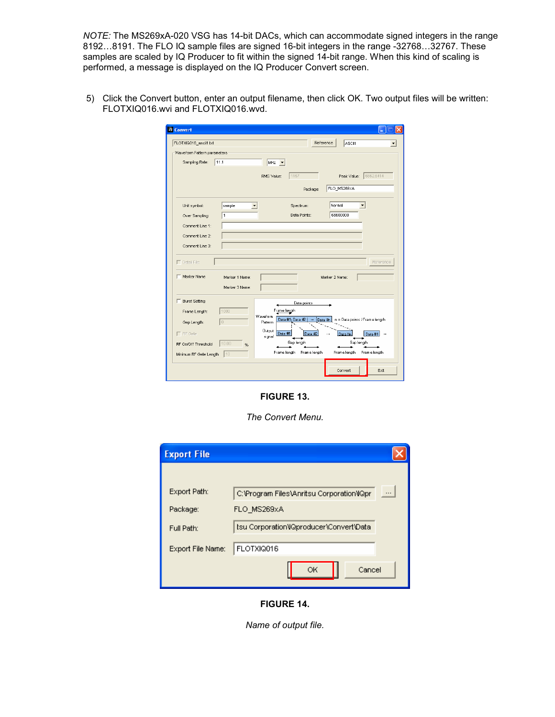NOTE: The MS269xA-020 VSG has 14-bit DACs, which can accommodate signed integers in the range 8192…8191. The FLO IQ sample files are signed 16-bit integers in the range -32768…32767. These samples are scaled by IQ Producer to fit within the signed 14-bit range. When this kind of scaling is performed, a message is displayed on the IQ Producer Convert screen.

5) Click the Convert button, enter an output filename, then click OK. Two output files will be written: FLOTXIQ016.wvi and FLOTXIQ016.wvd.

| <b>A</b> Convert                   |                                  |                     |                                         |                |                                |
|------------------------------------|----------------------------------|---------------------|-----------------------------------------|----------------|--------------------------------|
| FLOTXIQ016_ascii1.txt              |                                  |                     | Reference                               | <b>ASCI1</b>   |                                |
| Waveform Pattern parameters        |                                  |                     |                                         |                |                                |
| Sampling Rate:                     | 11.1                             | MHz <b>v</b>        |                                         |                |                                |
|                                    |                                  |                     |                                         |                |                                |
|                                    |                                  | RMS Value:          | 1157                                    | Peak Value:    | 6662.6414                      |
|                                    |                                  |                     | Package:                                | FLO_MS269xA    |                                |
|                                    |                                  |                     |                                         |                |                                |
| Unit symbol:                       | sample                           |                     | Spectrum:                               | Normal         |                                |
| Over Sampling:                     | 1                                |                     | Data Points:                            | 66600000       |                                |
|                                    |                                  |                     |                                         |                |                                |
| Comment Line 1:                    |                                  |                     |                                         |                |                                |
| Comment Line 2:                    |                                  |                     |                                         |                |                                |
| Comment Line 3:                    |                                  |                     |                                         |                |                                |
| $\Box$ Detail File:<br>Marker Name | Marker 1 Name:<br>Marker 3 Name: |                     |                                         | Marker 2 Name: | Reference                      |
| <b>Burst Setting</b>               |                                  |                     | Data points                             |                |                                |
| Frame Length:                      | 1000                             | Frame length        |                                         |                |                                |
| Gap Length:                        | 0                                | Waveform<br>Pattern | Data #1; Data #2<br>Data In<br>$\cdots$ |                | n = Data points / Frame length |
|                                    |                                  | Output<br>Data #1   |                                         |                |                                |
| $\Gamma$ RF Gate                   |                                  | signal              | Data.                                   | Data #r        | Data #1<br>$\cdots$            |
| RF On/Off Threshold                | 10.00<br>%                       |                     | Gap length                              | Gap length     |                                |
| Minimum RF Gate Length             | 10                               | Frame length        | Frame length                            | Framelength    | Frame length                   |
|                                    |                                  |                     |                                         |                |                                |
|                                    |                                  |                     |                                         |                |                                |

FIGURE 13.

The Convert Menu.

| <b>Export File</b> |                                                       |
|--------------------|-------------------------------------------------------|
|                    |                                                       |
| Export Path:       | C: Program Files Anritsu Corporation IQpr<br>$\cdots$ |
| Package:           | FLO MS269xA                                           |
| Full Path:         | tsu Corporation\IQproducer\Convert\Data               |
| Export File Name:  | FLOTXIQ016                                            |
|                    | Cancel<br>OК                                          |

FIGURE 14.

Name of output file.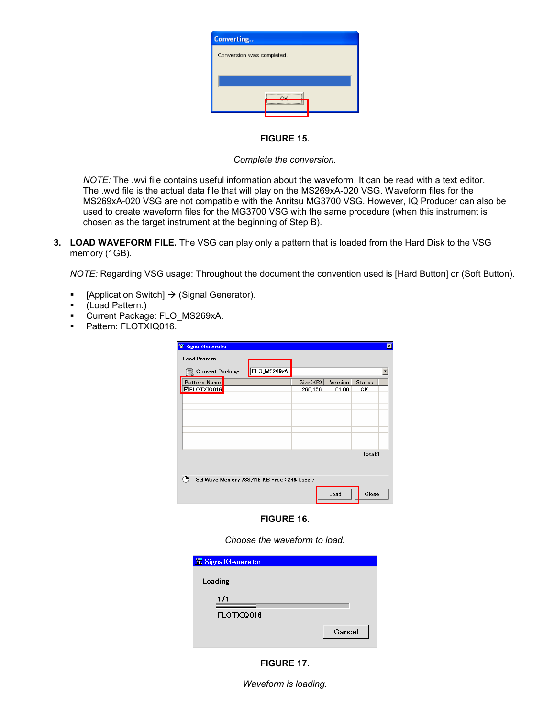| Converting                |  |
|---------------------------|--|
| Conversion was completed. |  |
|                           |  |
|                           |  |
| ΩK                        |  |

FIGURE 15.

Complete the conversion.

NOTE: The .wvi file contains useful information about the waveform. It can be read with a text editor. The .wvd file is the actual data file that will play on the MS269xA-020 VSG. Waveform files for the MS269xA-020 VSG are not compatible with the Anritsu MG3700 VSG. However, IQ Producer can also be used to create waveform files for the MG3700 VSG with the same procedure (when this instrument is chosen as the target instrument at the beginning of Step B).

3. LOAD WAVEFORM FILE. The VSG can play only a pattern that is loaded from the Hard Disk to the VSG memory (1GB).

NOTE: Regarding VSG usage: Throughout the document the convention used is [Hard Button] or (Soft Button).

- **•** [Application Switch]  $\rightarrow$  (Signal Generator).
- (Load Pattern.)
- **Current Package: FLO\_MS269xA.**
- Pattern: FLOTXIQ016.

| <b>XX Signal Generator</b><br><b>Load Pattern</b> |          |         |               |  |
|---------------------------------------------------|----------|---------|---------------|--|
| FLO_MS269xA<br><b>Current Package</b>             |          |         |               |  |
| Pattern Name                                      | Size(KB) | Version | <b>Status</b> |  |
| <b>ØFLOTXIQ016</b>                                | 260.156  | 01.00   | ОΚ            |  |
|                                                   |          |         |               |  |
|                                                   |          |         |               |  |
|                                                   |          |         |               |  |
|                                                   |          |         |               |  |
|                                                   |          |         |               |  |
|                                                   |          |         |               |  |
|                                                   |          |         |               |  |
|                                                   |          |         | Total:1       |  |
|                                                   |          |         |               |  |
| SG Wave Memory 788,419 KB Free (24% Used)         |          |         |               |  |
|                                                   |          | Load    | Close         |  |

## FIGURE 16.

Choose the waveform to load.

| <b>22 Signal Generator</b> |        |
|----------------------------|--------|
| Loading                    |        |
| 1/1                        |        |
| FLOTXIQ016                 |        |
|                            | Cancel |



Waveform is loading.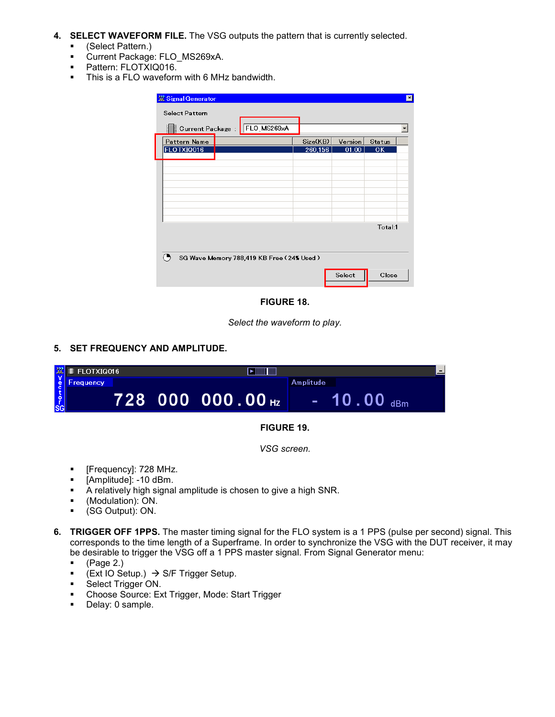- 4. SELECT WAVEFORM FILE. The VSG outputs the pattern that is currently selected.
	- (Select Pattern.)
	- **Current Package: FLO\_MS269xA.**
	- Pattern: FLOTXIQ016.
	- **This is a FLO waveform with 6 MHz bandwidth.**

| Signal Generator<br><b>Select Pattern</b> |          |         |               | × |
|-------------------------------------------|----------|---------|---------------|---|
| FLO_MS269xA<br>Current Package<br>g       |          |         |               |   |
| Pattern Name                              | Size(KB) | Version | <b>Status</b> |   |
| FLOTXIQ016                                | 260,156  | 01.00   | <b>OK</b>     |   |
|                                           |          |         |               |   |
|                                           |          |         |               |   |
|                                           |          |         |               |   |
|                                           |          |         |               |   |
|                                           |          |         |               |   |
|                                           |          |         |               |   |
|                                           |          |         | Total:1       |   |
|                                           |          |         |               |   |
|                                           |          |         |               |   |
| SG Wave Memory 788,419 KB Free (24% Used) |          |         |               |   |
|                                           |          | Select  | Close         |   |
|                                           |          |         |               |   |

FIGURE 18.

Select the waveform to play.

5. SET FREQUENCY AND AMPLITUDE.

|               | <b>R</b> ELOTXIQ016 |  | <b>TIIIIIIIIIIIIII</b> |                                                    | $\overline{\phantom{0}}$ |  |
|---------------|---------------------|--|------------------------|----------------------------------------------------|--------------------------|--|
| $\frac{e}{c}$ | Frequency           |  |                        | Amplitude                                          |                          |  |
| 。<br>SG       |                     |  | 728 000 000.00 Hz      | 10 . 00 $_{\text{\tiny{dBm}}}$<br>and the contract |                          |  |
|               | --------            |  |                        |                                                    |                          |  |

## FIGURE 19.

VSG screen.

- **Filte Figuency**]: 728 MHz.
- [Amplitude]: -10 dBm.
- A relatively high signal amplitude is chosen to give a high SNR.
- (Modulation): ON.
- (SG Output): ON.
- 6. TRIGGER OFF 1PPS. The master timing signal for the FLO system is a 1 PPS (pulse per second) signal. This corresponds to the time length of a Superframe. In order to synchronize the VSG with the DUT receiver, it may be desirable to trigger the VSG off a 1 PPS master signal. From Signal Generator menu:
	- $\bullet$  (Page 2.)
	- **Ext IO Setup.)**  $\rightarrow$  **S/F Trigger Setup.**
	- Select Trigger ON.
	- Choose Source: Ext Trigger, Mode: Start Trigger<br>■ Delay: 0 sample
	- Delay: 0 sample.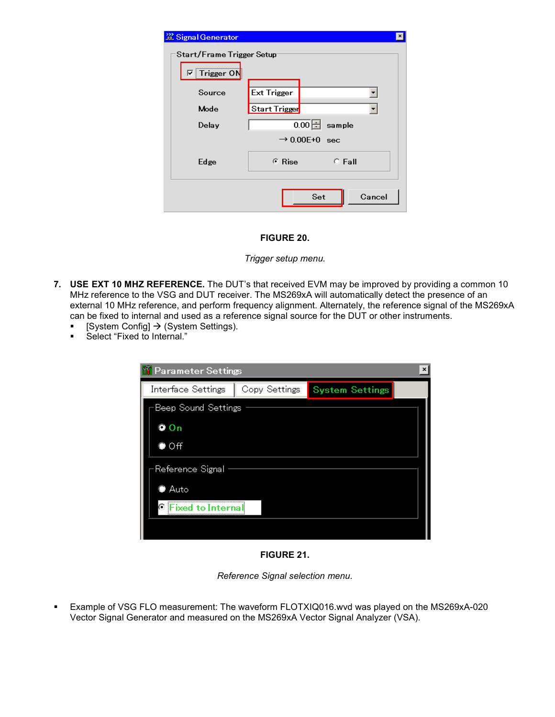| <b>XX Signal Generator</b>                               |                             | × |  |
|----------------------------------------------------------|-----------------------------|---|--|
| Start/Frame Trigger Setup<br><mark>⊽</mark> ∣ Trigger ON |                             |   |  |
| Source                                                   | <b>Ext Trigger</b>          |   |  |
| Mode                                                     | Start Trigger               |   |  |
| Delay                                                    | $\overline{0.00}$ Sample    |   |  |
|                                                          | $\rightarrow$ 0.00E+0 sec   |   |  |
| Edge                                                     | $C$ Fall<br>$\epsilon$ Rise |   |  |
|                                                          | Cancel<br>Set               |   |  |

## FIGURE 20.

## Trigger setup menu.

- 7. USE EXT 10 MHZ REFERENCE. The DUT's that received EVM may be improved by providing a common 10 MHz reference to the VSG and DUT receiver. The MS269xA will automatically detect the presence of an external 10 MHz reference, and perform frequency alignment. Alternately, the reference signal of the MS269xA can be fixed to internal and used as a reference signal source for the DUT or other instruments.
	- System Config]  $\rightarrow$  (System Settings).
	- **Select "Fixed to Internal."**

| <b>T</b> Parameter Settings |               |                        |  |  |  |
|-----------------------------|---------------|------------------------|--|--|--|
| Interface Settings          | Copy Settings | <b>System Settings</b> |  |  |  |
| Beep Sound Settings         |               |                        |  |  |  |
| $Q$ On                      |               |                        |  |  |  |
| $\bullet$ Off               |               |                        |  |  |  |
| Reference Signal            |               |                        |  |  |  |
| $\bullet$ Auto              |               |                        |  |  |  |
| <b>C</b> Fixed to Internal  |               |                        |  |  |  |
|                             |               |                        |  |  |  |

FIGURE 21.

Reference Signal selection menu.

 Example of VSG FLO measurement: The waveform FLOTXIQ016.wvd was played on the MS269xA-020 Vector Signal Generator and measured on the MS269xA Vector Signal Analyzer (VSA).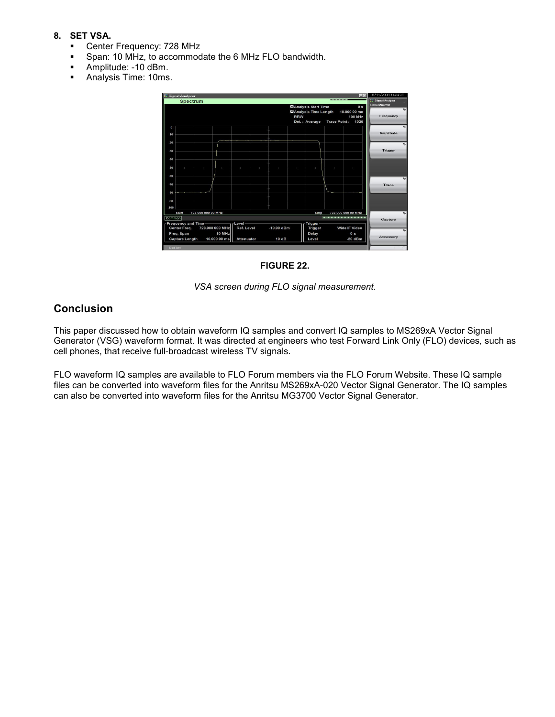## 8. SET VSA.

- Center Frequency: 728 MHz
- Span: 10 MHz, to accommodate the 6 MHz FLO bandwidth.
- **Amplitude: -10 dBm.**
- Analysis Time: 10ms.



FIGURE 22.

VSA screen during FLO signal measurement.

## **Conclusion**

This paper discussed how to obtain waveform IQ samples and convert IQ samples to MS269xA Vector Signal Generator (VSG) waveform format. It was directed at engineers who test Forward Link Only (FLO) devices, such as cell phones, that receive full-broadcast wireless TV signals.

FLO waveform IQ samples are available to FLO Forum members via the FLO Forum Website. These IQ sample files can be converted into waveform files for the Anritsu MS269xA-020 Vector Signal Generator. The IQ samples can also be converted into waveform files for the Anritsu MG3700 Vector Signal Generator.